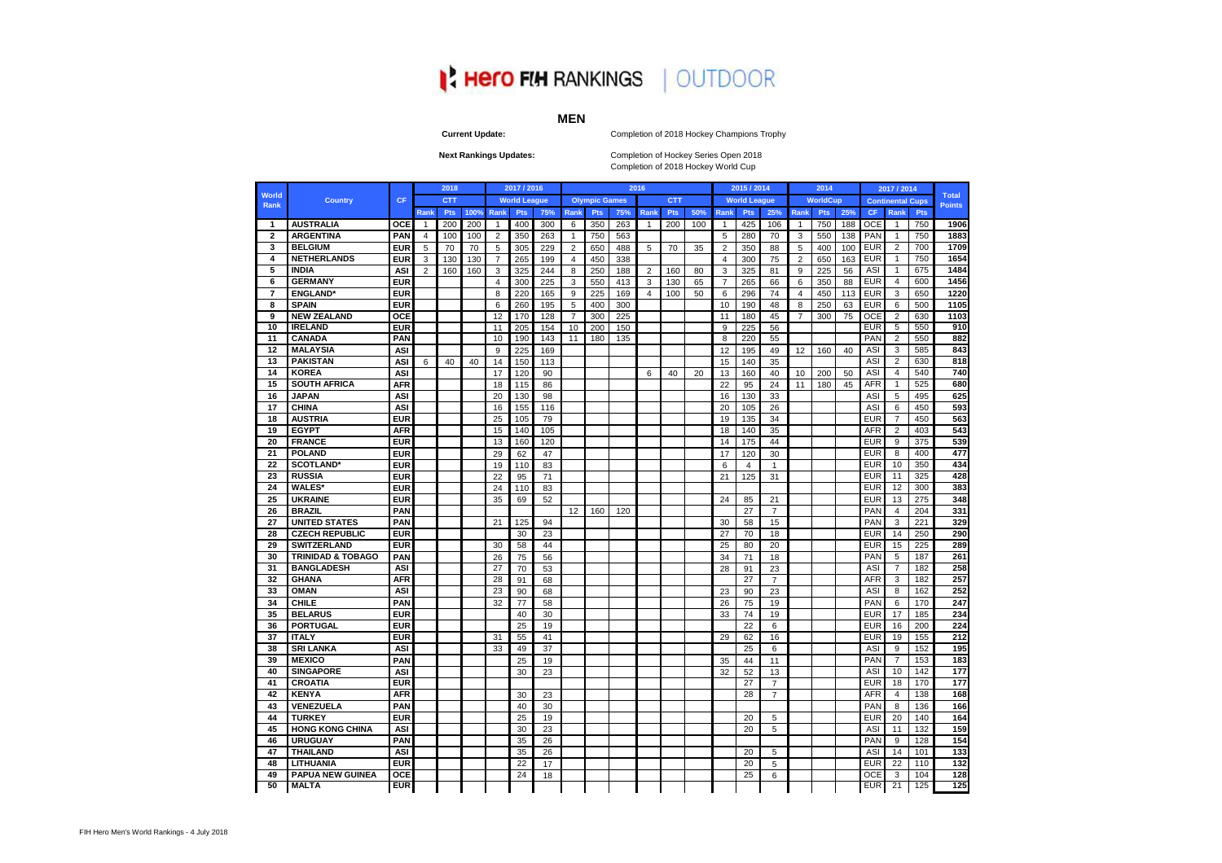#### Completion of 2018 Hockey Champions Trophy

Completion of Hockey Series Open 2018 Completion of 2018 Hockey World Cup

#### **Current Update:**

#### **Next Rankings Updates:**

|                |                              |            |                | 2018       |      |                | 2017 / 2016         |     |                |                      |     | 2016           |            |     |                | 2015 / 2014         |                |                | 2014            |     |            | 2017 / 2014             |            |                               |
|----------------|------------------------------|------------|----------------|------------|------|----------------|---------------------|-----|----------------|----------------------|-----|----------------|------------|-----|----------------|---------------------|----------------|----------------|-----------------|-----|------------|-------------------------|------------|-------------------------------|
| World<br>Rank  | <b>Country</b>               | <b>CF</b>  |                | <b>CTT</b> |      |                | <b>World League</b> |     |                | <b>Olympic Games</b> |     |                | <b>CTT</b> |     |                | <b>World League</b> |                |                | <b>WorldCup</b> |     |            | <b>Continental Cups</b> |            | <b>Total</b><br><b>Points</b> |
|                |                              |            | Rank           | <b>Pts</b> | 100% | Rank           | <b>Pts</b>          | 75% | Rank           | <b>Pts</b>           | 75% | Rank           | <b>Pts</b> | 50% | Rank           | <b>Pts</b>          | 25%            | Rank           | <b>Pts</b>      | 25% | <b>CF</b>  | Rank                    | <b>Pts</b> |                               |
| 1              | <b>AUSTRALIA</b>             | <b>OCE</b> | 1              | 200        | 200  | $\overline{1}$ | 400                 | 300 | 6              | 350                  | 263 | $\overline{1}$ | 200        | 100 | $\overline{1}$ | 425                 | 106            | $\mathbf{1}$   | 750             | 188 | <b>OCE</b> | $\overline{1}$          | 750        | 1906                          |
| $\mathbf{2}$   | <b>ARGENTINA</b>             | <b>PAN</b> | $\overline{4}$ | 100        | 100  | $\overline{2}$ | 350                 | 263 | $\overline{1}$ | 750                  | 563 |                |            |     | 5              | 280                 | 70             | 3              | 550             | 138 | PAN        | $\overline{1}$          | 750        | 1883                          |
| 3              | <b>BELGIUM</b>               | <b>EUR</b> | 5              | 70         | 70   | 5              | 305                 | 229 | 2              | 650                  | 488 | 5              | 70         | 35  | $\overline{2}$ | 350                 | 88             | 5              | 400             | 100 | <b>EUR</b> | $\overline{2}$          | 700        | 1709                          |
| 4              | <b>NETHERLANDS</b>           | <b>EUR</b> | 3              | 130        | 130  | $\overline{7}$ | 265                 | 199 | $\overline{4}$ | 450                  | 338 |                |            |     | $\overline{4}$ | 300                 | 75             | 2              | 650             | 163 | <b>EUR</b> | $\overline{1}$          | 750        | 1654                          |
| 5              | <b>INDIA</b>                 | <b>ASI</b> | 2              | 160        | 160  | 3              | 325                 | 244 | 8              | 250                  | 188 | $\overline{2}$ | 160        | 80  | 3              | 325                 | 81             | 9              | 225             | 56  | ASI        | $\overline{1}$          | 675        | 1484                          |
| 6              | <b>GERMANY</b>               | <b>EUR</b> |                |            |      | $\overline{4}$ | 300                 | 225 | 3              | 550                  | 413 | 3              | 130        | 65  | $\overline{7}$ | 265                 | 66             | 6              | 350             | 88  | <b>EUR</b> | $\overline{4}$          | 600        | 1456                          |
| $\overline{7}$ | <b>ENGLAND*</b>              | <b>EUR</b> |                |            |      | 8              | 220                 | 165 | 9              | 225                  | 169 | $\overline{4}$ | 100        | 50  | 6              | 296                 | 74             | $\overline{4}$ | 450             | 113 | <b>EUR</b> | 3                       | 650        | 1220                          |
| 8              | <b>SPAIN</b>                 | <b>EUR</b> |                |            |      | 6              | 260                 | 195 | 5              | 400                  | 300 |                |            |     | 10             | 190                 | 48             | 8              | 250             | 63  | <b>EUR</b> | 6                       | 500        | 1105                          |
| 9              | <b>NEW ZEALAND</b>           | <b>OCE</b> |                |            |      | 12             | 170                 | 128 | 7              | 300                  | 225 |                |            |     | 11             | 180                 | 45             | $\overline{7}$ | 300             | 75  | <b>OCE</b> | $\overline{2}$          | 630        | 1103                          |
| 10             | <b>IRELAND</b>               | <b>EUR</b> |                |            |      | 11             | 205                 | 154 | 10             | 200                  | 150 |                |            |     | 9              | 225                 | 56             |                |                 |     | <b>EUR</b> | -5                      | 550        | 910                           |
| 11             | <b>CANADA</b>                | <b>PAN</b> |                |            |      | 10             | 190                 | 143 | 11             | 180                  | 135 |                |            |     | 8              | 220                 | 55             |                |                 |     | <b>PAN</b> | $\overline{2}$          | 550        | 882                           |
| 12             | <b>MALAYSIA</b>              | <b>ASI</b> |                |            |      | 9              | 225                 | 169 |                |                      |     |                |            |     | 12             | 195                 | 49             | 12             | 160             | 40  | ASI        | 3                       | 585        | 843                           |
| 13             | <b>PAKISTAN</b>              | <b>ASI</b> | 6              | 40         | 40   | 14             | 150                 | 113 |                |                      |     |                |            |     | 15             | 140                 | 35             |                |                 |     | ASI        | $\overline{2}$          | 630        | 818                           |
| 14             | <b>KOREA</b>                 | ASI        |                |            |      | 17             | 120                 | 90  |                |                      |     | 6              | 40         | 20  | 13             | 160                 | 40             | 10             | 200             | 50  | ASI        | 4                       | 540        | 740                           |
| 15             | <b>SOUTH AFRICA</b>          | <b>AFR</b> |                |            |      | 18             | 115                 | 86  |                |                      |     |                |            |     | 22             | 95                  | 24             | 11             | 180             | 45  | <b>AFR</b> | $\overline{1}$          | 525        | 680                           |
| 16             | <b>JAPAN</b>                 | <b>ASI</b> |                |            |      | 20             | 130                 | 98  |                |                      |     |                |            |     | 16             | 130                 | 33             |                |                 |     | ASI        | 5                       | 495        | 625                           |
| 17             | <b>CHINA</b>                 | <b>ASI</b> |                |            |      | 16             | 155                 | 116 |                |                      |     |                |            |     | 20             | 105                 | 26             |                |                 |     | ASI        | 6                       | 450        | 593                           |
| 18             | <b>AUSTRIA</b>               | <b>EUR</b> |                |            |      | 25             | 105                 | 79  |                |                      |     |                |            |     | 19             | 135                 | 34             |                |                 |     | <b>EUR</b> | $\overline{7}$          | 450        | 563                           |
| 19             | <b>EGYPT</b>                 | <b>AFR</b> |                |            |      | 15             | 140                 | 105 |                |                      |     |                |            |     | 18             | 140                 | 35             |                |                 |     | AFR        | $\overline{2}$          | 403        | 543                           |
| 20             | <b>FRANCE</b>                | <b>EUR</b> |                |            |      | 13             | 160                 | 120 |                |                      |     |                |            |     | 14             | 175                 | 44             |                |                 |     | <b>EUR</b> | 9                       | 375        | 539                           |
| 21             | <b>POLAND</b>                | <b>EUR</b> |                |            |      | 29             | 62                  | 47  |                |                      |     |                |            |     | 17             | 120                 | 30             |                |                 |     | <b>EUR</b> | 8                       | 400        | 477                           |
| 22             | <b>SCOTLAND*</b>             | <b>EUR</b> |                |            |      | 19             | 110                 | 83  |                |                      |     |                |            |     | 6              | $\overline{4}$      | $\mathbf{1}$   |                |                 |     | <b>EUR</b> | 10                      | 350        | 434                           |
| 23             | <b>RUSSIA</b>                | <b>EUR</b> |                |            |      | 22             | 95                  | 71  |                |                      |     |                |            |     | 21             | 125                 | 31             |                |                 |     | <b>EUR</b> | 11                      | 325        | 428                           |
| 24             | <b>WALES*</b>                | <b>EUR</b> |                |            |      | 24             | 110                 | 83  |                |                      |     |                |            |     |                |                     |                |                |                 |     | <b>EUR</b> | 12                      | 300        | 383                           |
| 25             | <b>UKRAINE</b>               | <b>EUR</b> |                |            |      | 35             | 69                  | 52  |                |                      |     |                |            |     | 24             | 85                  | 21             |                |                 |     | <b>EUR</b> | 13                      | 275        | 348                           |
| 26             | <b>BRAZIL</b>                | <b>PAN</b> |                |            |      |                |                     |     | 12             | 160                  | 120 |                |            |     |                | 27                  | $\overline{7}$ |                |                 |     | PAN        | $\overline{4}$          | 204        | 331                           |
| 27             | <b>UNITED STATES</b>         | <b>PAN</b> |                |            |      | 21             | 125                 | 94  |                |                      |     |                |            |     | 30             | 58                  | 15             |                |                 |     | <b>PAN</b> | 3                       | 221        | 329                           |
| 28             | <b>CZECH REPUBLIC</b>        | <b>EUR</b> |                |            |      |                | 30                  | 23  |                |                      |     |                |            |     | 27             | 70                  | 18             |                |                 |     | <b>EUR</b> | 14                      | 250        | 290                           |
| 29             | <b>SWITZERLAND</b>           | <b>EUR</b> |                |            |      | 30             | 58                  | 44  |                |                      |     |                |            |     | 25             | 80                  | 20             |                |                 |     | <b>EUR</b> | 15                      | 225        | 289                           |
| 30             | <b>TRINIDAD &amp; TOBAGO</b> | <b>PAN</b> |                |            |      | 26             | 75                  | 56  |                |                      |     |                |            |     | 34             | 71                  | 18             |                |                 |     | PAN        | 5                       | 187        | 261                           |
| 31             | <b>BANGLADESH</b>            | <b>ASI</b> |                |            |      | 27             | 70                  | 53  |                |                      |     |                |            |     | 28             | 91                  | 23             |                |                 |     | ASI        | $\overline{7}$          | 182        | 258                           |
| 32             | <b>GHANA</b>                 | <b>AFR</b> |                |            |      | 28             | 91                  | 68  |                |                      |     |                |            |     |                | 27                  | $\overline{7}$ |                |                 |     | <b>AFR</b> | 3                       | 182        | 257                           |
| 33             | <b>OMAN</b>                  | <b>ASI</b> |                |            |      | 23             | 90                  | 68  |                |                      |     |                |            |     | 23             | 90                  | 23             |                |                 |     | ASI        | 8                       | 162        | 252                           |
| 34             | <b>CHILE</b>                 | <b>PAN</b> |                |            |      | 32             | 77                  | 58  |                |                      |     |                |            |     | 26             | 75                  | 19             |                |                 |     | <b>PAN</b> | 6                       | 170        | 247                           |
| 35             | <b>BELARUS</b>               | <b>EUR</b> |                |            |      |                | 40                  | 30  |                |                      |     |                |            |     | 33             | 74                  | 19             |                |                 |     | <b>EUR</b> | 17                      | 185        | 234                           |
| 36             | <b>PORTUGAL</b>              | <b>EUR</b> |                |            |      |                | 25                  | 19  |                |                      |     |                |            |     |                | 22                  | 6              |                |                 |     | <b>EUR</b> | 16                      | 200        | 224                           |
| 37             | <b>ITALY</b>                 | <b>EUR</b> |                |            |      | 31             | 55                  | 41  |                |                      |     |                |            |     | 29             | 62                  | 16             |                |                 |     | <b>EUR</b> | 19                      | 155        | 212                           |
| 38             | <b>SRI LANKA</b>             | <b>ASI</b> |                |            |      | 33             | 49                  | 37  |                |                      |     |                |            |     |                | 25                  | 6              |                |                 |     | ASI        | 9                       | 152        | 195                           |
| 39             | <b>MEXICO</b>                | <b>PAN</b> |                |            |      |                | 25                  | 19  |                |                      |     |                |            |     | 35             | 44                  | 11             |                |                 |     | PAN        | $\overline{7}$          | 153        | 183                           |
| 40             | <b>SINGAPORE</b>             | <b>ASI</b> |                |            |      |                | 30                  | 23  |                |                      |     |                |            |     | 32             | 52                  | 13             |                |                 |     | ASI        | 10                      | 142        | 177                           |
| 41             | <b>CROATIA</b>               | <b>EUR</b> |                |            |      |                |                     |     |                |                      |     |                |            |     |                | 27                  | $\overline{7}$ |                |                 |     | <b>EUR</b> | 18                      | 170        | 177                           |
| 42             | <b>KENYA</b>                 | <b>AFR</b> |                |            |      |                | 30                  | 23  |                |                      |     |                |            |     |                | 28                  | $\overline{7}$ |                |                 |     | <b>AFR</b> | $\overline{4}$          | 138        | 168                           |
| 43             | <b>VENEZUELA</b>             | <b>PAN</b> |                |            |      |                | 40                  | 30  |                |                      |     |                |            |     |                |                     |                |                |                 |     | <b>PAN</b> | 8                       | 136        | 166                           |
| 44             | <b>TURKEY</b>                | <b>EUR</b> |                |            |      |                | 25                  | 19  |                |                      |     |                |            |     |                | 20                  | 5              |                |                 |     | <b>EUR</b> | 20                      | 140        | 164                           |
| 45             | <b>HONG KONG CHINA</b>       | <b>ASI</b> |                |            |      |                | 30                  | 23  |                |                      |     |                |            |     |                | 20                  | 5              |                |                 |     | ASI        | 11                      | 132        | 159                           |
| 46             | <b>URUGUAY</b>               | <b>PAN</b> |                |            |      |                | 35                  | 26  |                |                      |     |                |            |     |                |                     |                |                |                 |     | <b>PAN</b> | -9                      | 128        | 154                           |
| 47             | <b>THAILAND</b>              | <b>ASI</b> |                |            |      |                | 35                  | 26  |                |                      |     |                |            |     |                | 20                  | 5              |                |                 |     | ASI        | 14                      | 101        | 133                           |
| 48             | <b>LITHUANIA</b>             | <b>EUR</b> |                |            |      |                | 22                  | 17  |                |                      |     |                |            |     |                | 20                  | 5              |                |                 |     | <b>EUR</b> | 22                      | 110        | 132                           |
| 49             | <b>PAPUA NEW GUINEA</b>      | <b>OCE</b> |                |            |      |                | 24                  | 18  |                |                      |     |                |            |     |                | 25                  | 6              |                |                 |     | OCE        | 3                       | 104        | 128                           |
| 50             | <b>MALTA</b>                 | <b>EUR</b> |                |            |      |                |                     |     |                |                      |     |                |            |     |                |                     |                |                |                 |     | <b>EUR</b> | 21                      | 125        | 125                           |
|                |                              |            |                |            |      |                |                     |     |                |                      |     |                |            |     |                |                     |                |                |                 |     |            |                         |            |                               |

## **IN HERO FIN RANKINGS | OUTDOOR**

#### **MEN**

| <b>Total</b>             |                |                 |                |
|--------------------------|----------------|-----------------|----------------|
| $\frac{1}{2}$<br>P       |                |                 |                |
|                          |                |                 |                |
| 1                        |                | 90              | j              |
| 1883                     |                |                 | l              |
| 170                      |                |                 | I              |
| 1                        | 6              |                 |                |
| ı<br>1                   | 48             | ś               |                |
| 1<br>14.                 |                | i(              | ì              |
| $\overline{\phantom{a}}$ |                |                 |                |
| 1                        | 2              | 20              | )              |
| .<br>1                   |                | $\overline{10}$ |                |
| 1103                     |                |                 | ł              |
|                          | ţ              | )1(             | J              |
|                          |                | 882             |                |
|                          |                | $\overline{84}$ | 3              |
|                          |                | 818             |                |
|                          |                |                 |                |
|                          |                | 740             |                |
|                          | 68             |                 | 80             |
|                          | ŧ<br>ì         |                 | Į              |
|                          | ŗ<br>5Ś        | J.              | ì<br>ï         |
|                          | 56             |                 | K<br>ì         |
|                          |                | $\frac{1}{543}$ |                |
|                          | 5              |                 | 89             |
|                          |                |                 |                |
|                          | 47             |                 | $\overline{7}$ |
|                          | 4              | ţ.              | 4              |
|                          |                | 428             |                |
|                          |                | 38              | ŝ              |
|                          |                | 348             |                |
|                          |                | 331             |                |
|                          |                |                 |                |
|                          |                | 329             |                |
|                          |                | 290             |                |
|                          |                | 289             | ۱              |
|                          |                | 261             |                |
|                          |                | 258             | ł              |
|                          | 2!             |                 | ï              |
|                          |                |                 |                |
| $\ddot{\phantom{0}}$     | 25             |                 |                |
|                          |                | 247             |                |
|                          | $\overline{2}$ |                 | .<br>4<br>l    |
|                          |                | $\frac{1}{224}$ |                |
|                          |                | 212             |                |
|                          | 19             | )!              |                |
|                          |                | 18              | ţ              |
|                          |                |                 |                |
|                          | 1              | $\overline{77}$ |                |
|                          |                | 177             |                |
|                          |                | 168             |                |
|                          |                | 166             |                |
|                          |                | 164             |                |
|                          |                |                 | 159            |
|                          |                |                 |                |
|                          | 1              | 5               | 4              |
|                          |                | $\overline{13}$ | 3              |
|                          | 1              | $\frac{1}{32}$  |                |
|                          | 1              | 28              |                |
|                          | T              |                 | ī              |
|                          |                |                 |                |
|                          |                |                 |                |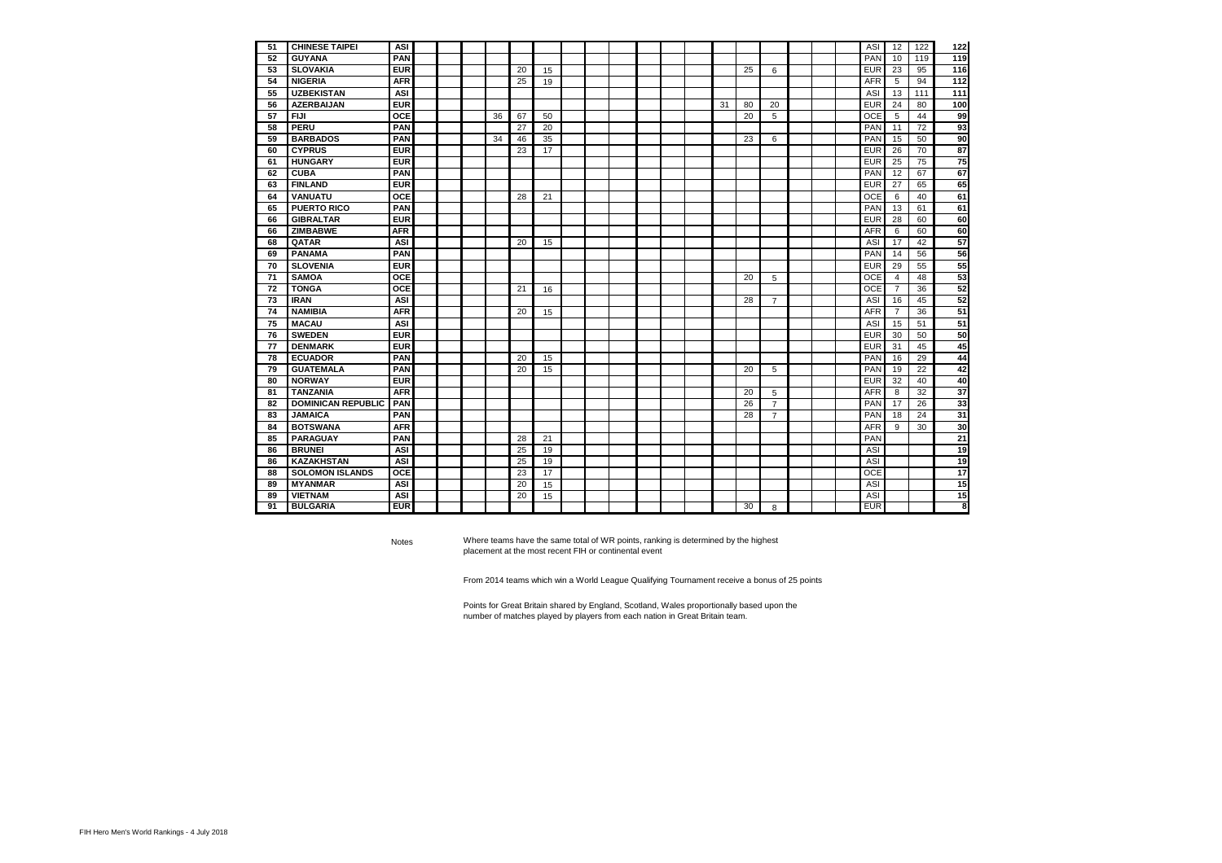| <b>CHINESE TAIPEI</b><br>51<br><b>ASI</b><br>ASI<br>12<br>122<br><b>PAN</b><br><b>PAN</b><br>52<br><b>GUYANA</b><br>10<br>119<br><b>EUR</b><br><b>SLOVAKIA</b><br><b>EUR</b><br>23<br>95<br>53<br>20<br>25<br>15<br>6<br><b>NIGERIA</b><br><b>AFR</b><br>25<br><b>AFR</b><br>5<br>94<br>54<br>19<br><b>UZBEKISTAN</b><br><b>ASI</b><br><b>ASI</b><br>55<br>13<br>111<br><b>EUR</b><br><b>EUR</b><br>24<br>56<br><b>AZERBAIJAN</b><br>31<br>80<br>80<br>20<br><b>OCE</b><br>OCE<br>57<br><b>FIJI</b><br>36<br>67<br>20<br>5<br>44<br>50<br>5<br><b>PERU</b><br><b>PAN</b><br>PAN<br>72<br>58<br>27<br>20<br>11<br><b>PAN</b><br>59<br><b>BARBADOS</b><br>34<br><b>PAN</b><br>15<br>50<br>46<br>35<br>23<br>6<br><b>CYPRUS</b><br><b>EUR</b><br><b>EUR</b><br>60<br>23<br>26<br>70<br>17<br><b>EUR</b><br><b>HUNGARY</b><br><b>EUR</b><br>25<br>75<br>61<br><b>CUBA</b><br><b>PAN</b><br><b>PAN</b><br>12<br>67<br>62<br><b>FINLAND</b><br><b>EUR</b><br>63<br><b>EUR</b><br>27<br>65<br><b>VANUATU</b><br><b>OCE</b><br><b>OCE</b><br>6<br>64<br>28<br>21<br>40<br><b>PUERTO RICO</b><br><b>PAN</b><br>PAN<br>13<br>65<br>61<br><b>EUR</b><br><b>GIBRALTAR</b><br><b>EUR</b><br>28<br>60<br>66<br><b>ZIMBABWE</b><br><b>AFR</b><br><b>AFR</b><br>6<br>60<br>66<br>68<br><b>QATAR</b><br><b>ASI</b><br>20<br><b>ASI</b><br>17<br>42<br>15<br><b>PANAMA</b><br><b>PAN</b><br>PAN<br>69<br>14<br>56<br><b>EUR</b><br><b>EUR</b><br>70<br><b>SLOVENIA</b><br>29<br>55<br>OCE<br><b>OCE</b><br><b>SAMOA</b><br>20<br>48<br>71<br>5<br>$\overline{4}$<br><b>TONGA</b><br><b>OCE</b><br><b>OCE</b><br>72<br>21<br>$\overline{7}$<br>36<br>16<br>73<br><b>IRAN</b><br><b>ASI</b><br><b>ASI</b><br>16<br>45<br>28<br>$\overline{7}$<br><b>AFR</b><br><b>AFR</b><br>$\overline{7}$<br>74<br><b>NAMIBIA</b><br>36<br>20<br>15<br><b>MACAU</b><br><b>ASI</b><br>75<br><b>ASI</b><br>15<br>51<br><b>EUR</b><br><b>EUR</b><br>50<br>76<br><b>SWEDEN</b><br>30<br><b>EUR</b><br><b>EUR</b><br>77<br><b>DENMARK</b><br>31<br>45<br><b>PAN</b><br><b>ECUADOR</b><br>PAN<br>16<br>29<br>78<br>20<br>15<br><b>GUATEMALA</b><br><b>PAN</b><br>PAN<br>19<br>22<br>79<br>20<br>15<br>20<br>5<br><b>EUR</b><br><b>NORWAY</b><br><b>EUR</b><br>32<br>40<br>80<br><b>TANZANIA</b><br><b>AFR</b><br>AFR<br>8<br>32<br>81<br>20<br>5<br><b>DOMINICAN REPUBLIC</b><br>PAN<br>26<br><b>PAN</b><br>26<br>17<br>82<br>$\overline{7}$<br><b>PAN</b><br><b>JAMAICA</b><br>28<br>PAN<br>18<br>24<br>83<br>$\overline{7}$<br><b>AFR</b><br><b>BOTSWANA</b><br>9<br>30<br>84<br><b>AFR</b><br><b>PARAGUAY</b><br><b>PAN</b><br>PAN<br>85<br>21<br>28<br><b>BRUNEI</b><br><b>ASI</b><br>25<br>ASI<br>86<br>19<br><b>KAZAKHSTAN</b><br><b>ASI</b><br><b>ASI</b><br>25<br>86<br>19<br><b>SOLOMON ISLANDS</b><br><b>OCE</b><br>23<br>17<br><b>OCE</b><br>88<br><b>MYANMAR</b><br><b>ASI</b><br><b>ASI</b><br>89<br>20<br>15<br><b>VIETNAM</b><br><b>ASI</b><br>20<br><b>ASI</b><br>89<br>15<br><b>EUR</b><br><b>EUR</b><br>91<br><b>BULGARIA</b><br>30<br>8 |  |  |  |  |  |  |  |  |  |  |  |  |     |
|--------------------------------------------------------------------------------------------------------------------------------------------------------------------------------------------------------------------------------------------------------------------------------------------------------------------------------------------------------------------------------------------------------------------------------------------------------------------------------------------------------------------------------------------------------------------------------------------------------------------------------------------------------------------------------------------------------------------------------------------------------------------------------------------------------------------------------------------------------------------------------------------------------------------------------------------------------------------------------------------------------------------------------------------------------------------------------------------------------------------------------------------------------------------------------------------------------------------------------------------------------------------------------------------------------------------------------------------------------------------------------------------------------------------------------------------------------------------------------------------------------------------------------------------------------------------------------------------------------------------------------------------------------------------------------------------------------------------------------------------------------------------------------------------------------------------------------------------------------------------------------------------------------------------------------------------------------------------------------------------------------------------------------------------------------------------------------------------------------------------------------------------------------------------------------------------------------------------------------------------------------------------------------------------------------------------------------------------------------------------------------------------------------------------------------------------------------------------------------------------------------------------------------------------------------------------------------------------------------------------------------------------------------------------------------------------------------------------------------------------------------------------------------------------------------------------------------------------------------------------------------------------------------------------------------------------------------------------------------------------------------------------|--|--|--|--|--|--|--|--|--|--|--|--|-----|
|                                                                                                                                                                                                                                                                                                                                                                                                                                                                                                                                                                                                                                                                                                                                                                                                                                                                                                                                                                                                                                                                                                                                                                                                                                                                                                                                                                                                                                                                                                                                                                                                                                                                                                                                                                                                                                                                                                                                                                                                                                                                                                                                                                                                                                                                                                                                                                                                                                                                                                                                                                                                                                                                                                                                                                                                                                                                                                                                                                                                                    |  |  |  |  |  |  |  |  |  |  |  |  | 122 |
|                                                                                                                                                                                                                                                                                                                                                                                                                                                                                                                                                                                                                                                                                                                                                                                                                                                                                                                                                                                                                                                                                                                                                                                                                                                                                                                                                                                                                                                                                                                                                                                                                                                                                                                                                                                                                                                                                                                                                                                                                                                                                                                                                                                                                                                                                                                                                                                                                                                                                                                                                                                                                                                                                                                                                                                                                                                                                                                                                                                                                    |  |  |  |  |  |  |  |  |  |  |  |  | 119 |
|                                                                                                                                                                                                                                                                                                                                                                                                                                                                                                                                                                                                                                                                                                                                                                                                                                                                                                                                                                                                                                                                                                                                                                                                                                                                                                                                                                                                                                                                                                                                                                                                                                                                                                                                                                                                                                                                                                                                                                                                                                                                                                                                                                                                                                                                                                                                                                                                                                                                                                                                                                                                                                                                                                                                                                                                                                                                                                                                                                                                                    |  |  |  |  |  |  |  |  |  |  |  |  | 116 |
|                                                                                                                                                                                                                                                                                                                                                                                                                                                                                                                                                                                                                                                                                                                                                                                                                                                                                                                                                                                                                                                                                                                                                                                                                                                                                                                                                                                                                                                                                                                                                                                                                                                                                                                                                                                                                                                                                                                                                                                                                                                                                                                                                                                                                                                                                                                                                                                                                                                                                                                                                                                                                                                                                                                                                                                                                                                                                                                                                                                                                    |  |  |  |  |  |  |  |  |  |  |  |  | 112 |
|                                                                                                                                                                                                                                                                                                                                                                                                                                                                                                                                                                                                                                                                                                                                                                                                                                                                                                                                                                                                                                                                                                                                                                                                                                                                                                                                                                                                                                                                                                                                                                                                                                                                                                                                                                                                                                                                                                                                                                                                                                                                                                                                                                                                                                                                                                                                                                                                                                                                                                                                                                                                                                                                                                                                                                                                                                                                                                                                                                                                                    |  |  |  |  |  |  |  |  |  |  |  |  | 111 |
|                                                                                                                                                                                                                                                                                                                                                                                                                                                                                                                                                                                                                                                                                                                                                                                                                                                                                                                                                                                                                                                                                                                                                                                                                                                                                                                                                                                                                                                                                                                                                                                                                                                                                                                                                                                                                                                                                                                                                                                                                                                                                                                                                                                                                                                                                                                                                                                                                                                                                                                                                                                                                                                                                                                                                                                                                                                                                                                                                                                                                    |  |  |  |  |  |  |  |  |  |  |  |  | 100 |
|                                                                                                                                                                                                                                                                                                                                                                                                                                                                                                                                                                                                                                                                                                                                                                                                                                                                                                                                                                                                                                                                                                                                                                                                                                                                                                                                                                                                                                                                                                                                                                                                                                                                                                                                                                                                                                                                                                                                                                                                                                                                                                                                                                                                                                                                                                                                                                                                                                                                                                                                                                                                                                                                                                                                                                                                                                                                                                                                                                                                                    |  |  |  |  |  |  |  |  |  |  |  |  | 99  |
|                                                                                                                                                                                                                                                                                                                                                                                                                                                                                                                                                                                                                                                                                                                                                                                                                                                                                                                                                                                                                                                                                                                                                                                                                                                                                                                                                                                                                                                                                                                                                                                                                                                                                                                                                                                                                                                                                                                                                                                                                                                                                                                                                                                                                                                                                                                                                                                                                                                                                                                                                                                                                                                                                                                                                                                                                                                                                                                                                                                                                    |  |  |  |  |  |  |  |  |  |  |  |  | 93  |
|                                                                                                                                                                                                                                                                                                                                                                                                                                                                                                                                                                                                                                                                                                                                                                                                                                                                                                                                                                                                                                                                                                                                                                                                                                                                                                                                                                                                                                                                                                                                                                                                                                                                                                                                                                                                                                                                                                                                                                                                                                                                                                                                                                                                                                                                                                                                                                                                                                                                                                                                                                                                                                                                                                                                                                                                                                                                                                                                                                                                                    |  |  |  |  |  |  |  |  |  |  |  |  | 90  |
|                                                                                                                                                                                                                                                                                                                                                                                                                                                                                                                                                                                                                                                                                                                                                                                                                                                                                                                                                                                                                                                                                                                                                                                                                                                                                                                                                                                                                                                                                                                                                                                                                                                                                                                                                                                                                                                                                                                                                                                                                                                                                                                                                                                                                                                                                                                                                                                                                                                                                                                                                                                                                                                                                                                                                                                                                                                                                                                                                                                                                    |  |  |  |  |  |  |  |  |  |  |  |  | 87  |
|                                                                                                                                                                                                                                                                                                                                                                                                                                                                                                                                                                                                                                                                                                                                                                                                                                                                                                                                                                                                                                                                                                                                                                                                                                                                                                                                                                                                                                                                                                                                                                                                                                                                                                                                                                                                                                                                                                                                                                                                                                                                                                                                                                                                                                                                                                                                                                                                                                                                                                                                                                                                                                                                                                                                                                                                                                                                                                                                                                                                                    |  |  |  |  |  |  |  |  |  |  |  |  | 75  |
|                                                                                                                                                                                                                                                                                                                                                                                                                                                                                                                                                                                                                                                                                                                                                                                                                                                                                                                                                                                                                                                                                                                                                                                                                                                                                                                                                                                                                                                                                                                                                                                                                                                                                                                                                                                                                                                                                                                                                                                                                                                                                                                                                                                                                                                                                                                                                                                                                                                                                                                                                                                                                                                                                                                                                                                                                                                                                                                                                                                                                    |  |  |  |  |  |  |  |  |  |  |  |  | 67  |
|                                                                                                                                                                                                                                                                                                                                                                                                                                                                                                                                                                                                                                                                                                                                                                                                                                                                                                                                                                                                                                                                                                                                                                                                                                                                                                                                                                                                                                                                                                                                                                                                                                                                                                                                                                                                                                                                                                                                                                                                                                                                                                                                                                                                                                                                                                                                                                                                                                                                                                                                                                                                                                                                                                                                                                                                                                                                                                                                                                                                                    |  |  |  |  |  |  |  |  |  |  |  |  | 65  |
|                                                                                                                                                                                                                                                                                                                                                                                                                                                                                                                                                                                                                                                                                                                                                                                                                                                                                                                                                                                                                                                                                                                                                                                                                                                                                                                                                                                                                                                                                                                                                                                                                                                                                                                                                                                                                                                                                                                                                                                                                                                                                                                                                                                                                                                                                                                                                                                                                                                                                                                                                                                                                                                                                                                                                                                                                                                                                                                                                                                                                    |  |  |  |  |  |  |  |  |  |  |  |  | 61  |
|                                                                                                                                                                                                                                                                                                                                                                                                                                                                                                                                                                                                                                                                                                                                                                                                                                                                                                                                                                                                                                                                                                                                                                                                                                                                                                                                                                                                                                                                                                                                                                                                                                                                                                                                                                                                                                                                                                                                                                                                                                                                                                                                                                                                                                                                                                                                                                                                                                                                                                                                                                                                                                                                                                                                                                                                                                                                                                                                                                                                                    |  |  |  |  |  |  |  |  |  |  |  |  | 61  |
|                                                                                                                                                                                                                                                                                                                                                                                                                                                                                                                                                                                                                                                                                                                                                                                                                                                                                                                                                                                                                                                                                                                                                                                                                                                                                                                                                                                                                                                                                                                                                                                                                                                                                                                                                                                                                                                                                                                                                                                                                                                                                                                                                                                                                                                                                                                                                                                                                                                                                                                                                                                                                                                                                                                                                                                                                                                                                                                                                                                                                    |  |  |  |  |  |  |  |  |  |  |  |  | 60  |
|                                                                                                                                                                                                                                                                                                                                                                                                                                                                                                                                                                                                                                                                                                                                                                                                                                                                                                                                                                                                                                                                                                                                                                                                                                                                                                                                                                                                                                                                                                                                                                                                                                                                                                                                                                                                                                                                                                                                                                                                                                                                                                                                                                                                                                                                                                                                                                                                                                                                                                                                                                                                                                                                                                                                                                                                                                                                                                                                                                                                                    |  |  |  |  |  |  |  |  |  |  |  |  | 60  |
|                                                                                                                                                                                                                                                                                                                                                                                                                                                                                                                                                                                                                                                                                                                                                                                                                                                                                                                                                                                                                                                                                                                                                                                                                                                                                                                                                                                                                                                                                                                                                                                                                                                                                                                                                                                                                                                                                                                                                                                                                                                                                                                                                                                                                                                                                                                                                                                                                                                                                                                                                                                                                                                                                                                                                                                                                                                                                                                                                                                                                    |  |  |  |  |  |  |  |  |  |  |  |  | 57  |
|                                                                                                                                                                                                                                                                                                                                                                                                                                                                                                                                                                                                                                                                                                                                                                                                                                                                                                                                                                                                                                                                                                                                                                                                                                                                                                                                                                                                                                                                                                                                                                                                                                                                                                                                                                                                                                                                                                                                                                                                                                                                                                                                                                                                                                                                                                                                                                                                                                                                                                                                                                                                                                                                                                                                                                                                                                                                                                                                                                                                                    |  |  |  |  |  |  |  |  |  |  |  |  | 56  |
|                                                                                                                                                                                                                                                                                                                                                                                                                                                                                                                                                                                                                                                                                                                                                                                                                                                                                                                                                                                                                                                                                                                                                                                                                                                                                                                                                                                                                                                                                                                                                                                                                                                                                                                                                                                                                                                                                                                                                                                                                                                                                                                                                                                                                                                                                                                                                                                                                                                                                                                                                                                                                                                                                                                                                                                                                                                                                                                                                                                                                    |  |  |  |  |  |  |  |  |  |  |  |  | 55  |
|                                                                                                                                                                                                                                                                                                                                                                                                                                                                                                                                                                                                                                                                                                                                                                                                                                                                                                                                                                                                                                                                                                                                                                                                                                                                                                                                                                                                                                                                                                                                                                                                                                                                                                                                                                                                                                                                                                                                                                                                                                                                                                                                                                                                                                                                                                                                                                                                                                                                                                                                                                                                                                                                                                                                                                                                                                                                                                                                                                                                                    |  |  |  |  |  |  |  |  |  |  |  |  | 53  |
|                                                                                                                                                                                                                                                                                                                                                                                                                                                                                                                                                                                                                                                                                                                                                                                                                                                                                                                                                                                                                                                                                                                                                                                                                                                                                                                                                                                                                                                                                                                                                                                                                                                                                                                                                                                                                                                                                                                                                                                                                                                                                                                                                                                                                                                                                                                                                                                                                                                                                                                                                                                                                                                                                                                                                                                                                                                                                                                                                                                                                    |  |  |  |  |  |  |  |  |  |  |  |  | 52  |
|                                                                                                                                                                                                                                                                                                                                                                                                                                                                                                                                                                                                                                                                                                                                                                                                                                                                                                                                                                                                                                                                                                                                                                                                                                                                                                                                                                                                                                                                                                                                                                                                                                                                                                                                                                                                                                                                                                                                                                                                                                                                                                                                                                                                                                                                                                                                                                                                                                                                                                                                                                                                                                                                                                                                                                                                                                                                                                                                                                                                                    |  |  |  |  |  |  |  |  |  |  |  |  | 52  |
|                                                                                                                                                                                                                                                                                                                                                                                                                                                                                                                                                                                                                                                                                                                                                                                                                                                                                                                                                                                                                                                                                                                                                                                                                                                                                                                                                                                                                                                                                                                                                                                                                                                                                                                                                                                                                                                                                                                                                                                                                                                                                                                                                                                                                                                                                                                                                                                                                                                                                                                                                                                                                                                                                                                                                                                                                                                                                                                                                                                                                    |  |  |  |  |  |  |  |  |  |  |  |  | 51  |
|                                                                                                                                                                                                                                                                                                                                                                                                                                                                                                                                                                                                                                                                                                                                                                                                                                                                                                                                                                                                                                                                                                                                                                                                                                                                                                                                                                                                                                                                                                                                                                                                                                                                                                                                                                                                                                                                                                                                                                                                                                                                                                                                                                                                                                                                                                                                                                                                                                                                                                                                                                                                                                                                                                                                                                                                                                                                                                                                                                                                                    |  |  |  |  |  |  |  |  |  |  |  |  | 51  |
|                                                                                                                                                                                                                                                                                                                                                                                                                                                                                                                                                                                                                                                                                                                                                                                                                                                                                                                                                                                                                                                                                                                                                                                                                                                                                                                                                                                                                                                                                                                                                                                                                                                                                                                                                                                                                                                                                                                                                                                                                                                                                                                                                                                                                                                                                                                                                                                                                                                                                                                                                                                                                                                                                                                                                                                                                                                                                                                                                                                                                    |  |  |  |  |  |  |  |  |  |  |  |  | 50  |
|                                                                                                                                                                                                                                                                                                                                                                                                                                                                                                                                                                                                                                                                                                                                                                                                                                                                                                                                                                                                                                                                                                                                                                                                                                                                                                                                                                                                                                                                                                                                                                                                                                                                                                                                                                                                                                                                                                                                                                                                                                                                                                                                                                                                                                                                                                                                                                                                                                                                                                                                                                                                                                                                                                                                                                                                                                                                                                                                                                                                                    |  |  |  |  |  |  |  |  |  |  |  |  | 45  |
|                                                                                                                                                                                                                                                                                                                                                                                                                                                                                                                                                                                                                                                                                                                                                                                                                                                                                                                                                                                                                                                                                                                                                                                                                                                                                                                                                                                                                                                                                                                                                                                                                                                                                                                                                                                                                                                                                                                                                                                                                                                                                                                                                                                                                                                                                                                                                                                                                                                                                                                                                                                                                                                                                                                                                                                                                                                                                                                                                                                                                    |  |  |  |  |  |  |  |  |  |  |  |  | 44  |
|                                                                                                                                                                                                                                                                                                                                                                                                                                                                                                                                                                                                                                                                                                                                                                                                                                                                                                                                                                                                                                                                                                                                                                                                                                                                                                                                                                                                                                                                                                                                                                                                                                                                                                                                                                                                                                                                                                                                                                                                                                                                                                                                                                                                                                                                                                                                                                                                                                                                                                                                                                                                                                                                                                                                                                                                                                                                                                                                                                                                                    |  |  |  |  |  |  |  |  |  |  |  |  | 42  |
|                                                                                                                                                                                                                                                                                                                                                                                                                                                                                                                                                                                                                                                                                                                                                                                                                                                                                                                                                                                                                                                                                                                                                                                                                                                                                                                                                                                                                                                                                                                                                                                                                                                                                                                                                                                                                                                                                                                                                                                                                                                                                                                                                                                                                                                                                                                                                                                                                                                                                                                                                                                                                                                                                                                                                                                                                                                                                                                                                                                                                    |  |  |  |  |  |  |  |  |  |  |  |  | 40  |
|                                                                                                                                                                                                                                                                                                                                                                                                                                                                                                                                                                                                                                                                                                                                                                                                                                                                                                                                                                                                                                                                                                                                                                                                                                                                                                                                                                                                                                                                                                                                                                                                                                                                                                                                                                                                                                                                                                                                                                                                                                                                                                                                                                                                                                                                                                                                                                                                                                                                                                                                                                                                                                                                                                                                                                                                                                                                                                                                                                                                                    |  |  |  |  |  |  |  |  |  |  |  |  | 37  |
|                                                                                                                                                                                                                                                                                                                                                                                                                                                                                                                                                                                                                                                                                                                                                                                                                                                                                                                                                                                                                                                                                                                                                                                                                                                                                                                                                                                                                                                                                                                                                                                                                                                                                                                                                                                                                                                                                                                                                                                                                                                                                                                                                                                                                                                                                                                                                                                                                                                                                                                                                                                                                                                                                                                                                                                                                                                                                                                                                                                                                    |  |  |  |  |  |  |  |  |  |  |  |  | 33  |
|                                                                                                                                                                                                                                                                                                                                                                                                                                                                                                                                                                                                                                                                                                                                                                                                                                                                                                                                                                                                                                                                                                                                                                                                                                                                                                                                                                                                                                                                                                                                                                                                                                                                                                                                                                                                                                                                                                                                                                                                                                                                                                                                                                                                                                                                                                                                                                                                                                                                                                                                                                                                                                                                                                                                                                                                                                                                                                                                                                                                                    |  |  |  |  |  |  |  |  |  |  |  |  | 31  |
|                                                                                                                                                                                                                                                                                                                                                                                                                                                                                                                                                                                                                                                                                                                                                                                                                                                                                                                                                                                                                                                                                                                                                                                                                                                                                                                                                                                                                                                                                                                                                                                                                                                                                                                                                                                                                                                                                                                                                                                                                                                                                                                                                                                                                                                                                                                                                                                                                                                                                                                                                                                                                                                                                                                                                                                                                                                                                                                                                                                                                    |  |  |  |  |  |  |  |  |  |  |  |  | 30  |
|                                                                                                                                                                                                                                                                                                                                                                                                                                                                                                                                                                                                                                                                                                                                                                                                                                                                                                                                                                                                                                                                                                                                                                                                                                                                                                                                                                                                                                                                                                                                                                                                                                                                                                                                                                                                                                                                                                                                                                                                                                                                                                                                                                                                                                                                                                                                                                                                                                                                                                                                                                                                                                                                                                                                                                                                                                                                                                                                                                                                                    |  |  |  |  |  |  |  |  |  |  |  |  | 21  |
|                                                                                                                                                                                                                                                                                                                                                                                                                                                                                                                                                                                                                                                                                                                                                                                                                                                                                                                                                                                                                                                                                                                                                                                                                                                                                                                                                                                                                                                                                                                                                                                                                                                                                                                                                                                                                                                                                                                                                                                                                                                                                                                                                                                                                                                                                                                                                                                                                                                                                                                                                                                                                                                                                                                                                                                                                                                                                                                                                                                                                    |  |  |  |  |  |  |  |  |  |  |  |  | 19  |
|                                                                                                                                                                                                                                                                                                                                                                                                                                                                                                                                                                                                                                                                                                                                                                                                                                                                                                                                                                                                                                                                                                                                                                                                                                                                                                                                                                                                                                                                                                                                                                                                                                                                                                                                                                                                                                                                                                                                                                                                                                                                                                                                                                                                                                                                                                                                                                                                                                                                                                                                                                                                                                                                                                                                                                                                                                                                                                                                                                                                                    |  |  |  |  |  |  |  |  |  |  |  |  | 19  |
|                                                                                                                                                                                                                                                                                                                                                                                                                                                                                                                                                                                                                                                                                                                                                                                                                                                                                                                                                                                                                                                                                                                                                                                                                                                                                                                                                                                                                                                                                                                                                                                                                                                                                                                                                                                                                                                                                                                                                                                                                                                                                                                                                                                                                                                                                                                                                                                                                                                                                                                                                                                                                                                                                                                                                                                                                                                                                                                                                                                                                    |  |  |  |  |  |  |  |  |  |  |  |  | 17  |
|                                                                                                                                                                                                                                                                                                                                                                                                                                                                                                                                                                                                                                                                                                                                                                                                                                                                                                                                                                                                                                                                                                                                                                                                                                                                                                                                                                                                                                                                                                                                                                                                                                                                                                                                                                                                                                                                                                                                                                                                                                                                                                                                                                                                                                                                                                                                                                                                                                                                                                                                                                                                                                                                                                                                                                                                                                                                                                                                                                                                                    |  |  |  |  |  |  |  |  |  |  |  |  | 15  |
|                                                                                                                                                                                                                                                                                                                                                                                                                                                                                                                                                                                                                                                                                                                                                                                                                                                                                                                                                                                                                                                                                                                                                                                                                                                                                                                                                                                                                                                                                                                                                                                                                                                                                                                                                                                                                                                                                                                                                                                                                                                                                                                                                                                                                                                                                                                                                                                                                                                                                                                                                                                                                                                                                                                                                                                                                                                                                                                                                                                                                    |  |  |  |  |  |  |  |  |  |  |  |  | 15  |
|                                                                                                                                                                                                                                                                                                                                                                                                                                                                                                                                                                                                                                                                                                                                                                                                                                                                                                                                                                                                                                                                                                                                                                                                                                                                                                                                                                                                                                                                                                                                                                                                                                                                                                                                                                                                                                                                                                                                                                                                                                                                                                                                                                                                                                                                                                                                                                                                                                                                                                                                                                                                                                                                                                                                                                                                                                                                                                                                                                                                                    |  |  |  |  |  |  |  |  |  |  |  |  | 8   |

Notes

From 2014 teams which win a World League Qualifying Tournament receive a bonus of 25 points

Points for Great Britain shared by England, Scotland, Wales proportionally based upon the number of matches played by players from each nation in Great Britain team.

Where teams have the same total of WR points, ranking is determined by the highest placement at the most recent FIH or continental event

| 1      | 22                      | ŗ                                                                           |
|--------|-------------------------|-----------------------------------------------------------------------------|
|        | 119                     | I                                                                           |
| 1      | 16                      |                                                                             |
| l<br>1 | 1                       |                                                                             |
| 1      | 1                       | 1                                                                           |
| 1<br>1 | 00                      | ١                                                                           |
|        | 99                      | I                                                                           |
|        | ç<br>١                  |                                                                             |
|        | ļ                       | 9O<br>I                                                                     |
|        | 8.                      |                                                                             |
|        | $\overline{7}$          |                                                                             |
|        | 67                      |                                                                             |
|        | 65                      | ī                                                                           |
|        | 6                       | 1                                                                           |
|        | $\overline{6}$          | 1                                                                           |
|        | 60                      | ١                                                                           |
|        | 6                       | i<br>)                                                                      |
|        | ı                       | 57                                                                          |
|        | 50                      |                                                                             |
|        | 5                       | l                                                                           |
|        | $\overline{\mathbf{5}}$ |                                                                             |
|        | 5.                      |                                                                             |
|        | į<br>j.                 |                                                                             |
|        | ŗ                       | $\overline{\mathbf{5}}$                                                     |
|        | $\overline{5}$          | 1                                                                           |
|        | 50                      | ١                                                                           |
|        | 4                       |                                                                             |
|        | 4                       | l                                                                           |
|        | 4                       |                                                                             |
|        |                         | 40                                                                          |
|        |                         | 37                                                                          |
|        |                         | 33                                                                          |
|        | l                       | .<br>31                                                                     |
|        |                         | 80                                                                          |
|        |                         | 21                                                                          |
|        |                         | 19                                                                          |
|        | 1                       | ļ<br>֖ׅ֧֦֧֦֧ׅ֧֧֦֧ׅ֧֧֦֧ׅ֧֧֛֧֧֦֧ׅ֧֧֚֚֚֚֚֚֚֚֚֚֚֚֚֚֚֚֚֬֘֩֘֜֓֝֓֜֓֝֓֜֝֓֓֜֝֬֝<br>) |
|        | 1                       | ì                                                                           |
|        | 1                       | l                                                                           |
|        | 1                       | ı                                                                           |
|        |                         | Ś                                                                           |
|        |                         |                                                                             |
|        |                         |                                                                             |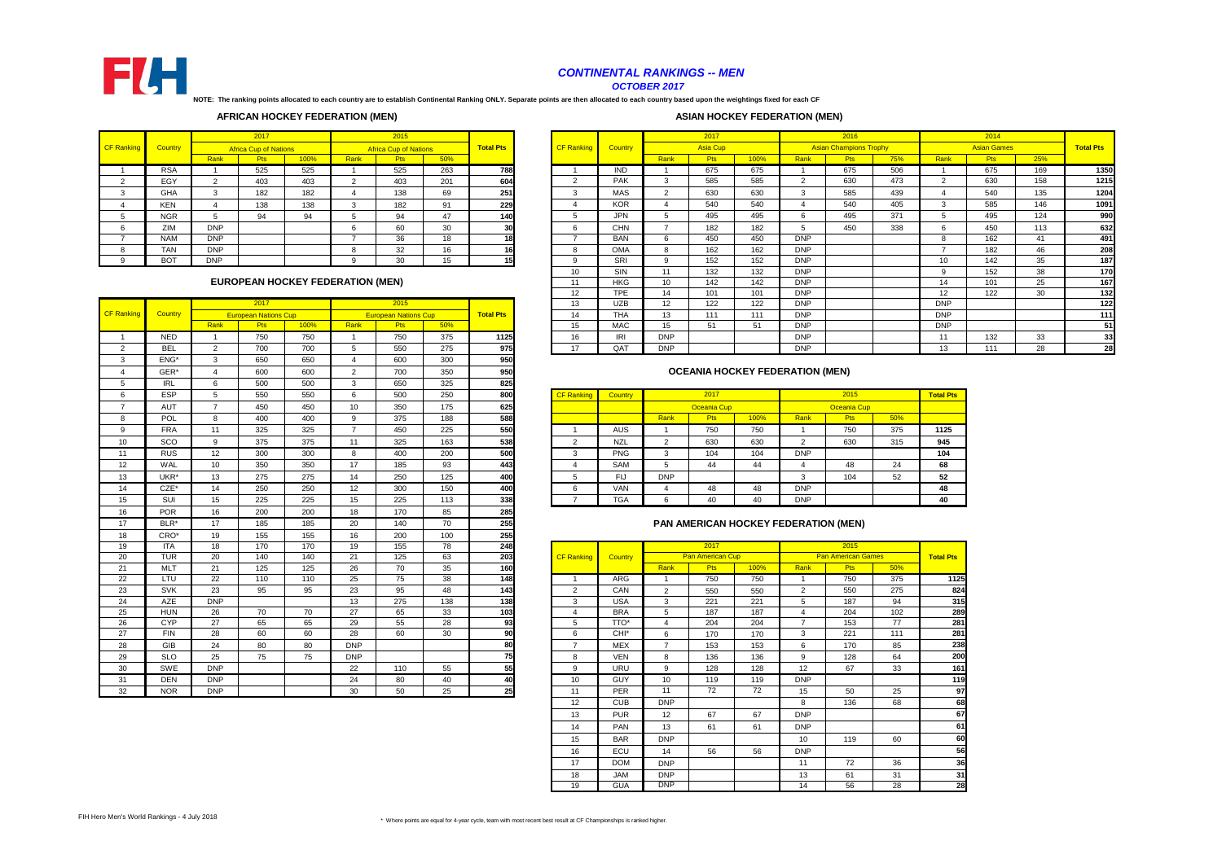|        |                |            | 2017                                    |      |      | 2015                         |     |                  |                   |            |                  | 2017            |      |            | 2016                          |     |            | 2014               |     |                  |
|--------|----------------|------------|-----------------------------------------|------|------|------------------------------|-----|------------------|-------------------|------------|------------------|-----------------|------|------------|-------------------------------|-----|------------|--------------------|-----|------------------|
| anking | <b>Country</b> |            | <b>Africa Cup of Nations</b>            |      |      | <b>Africa Cup of Nations</b> |     | <b>Total Pts</b> | <b>CF Ranking</b> | Country    |                  | <b>Asia Cup</b> |      |            | <b>Asian Champions Trophy</b> |     |            | <b>Asian Games</b> |     | <b>Total Pts</b> |
|        |                | Rank       | Pts                                     | 100% | Rank | <b>Pts</b>                   | 50% |                  |                   |            | Rank             | Pts             | 100% | Rank       | <b>Pts</b>                    | 75% | Rank       | <b>Pts</b>         | 25% |                  |
|        | <b>RSA</b>     |            | 525                                     | 525  |      | 525                          | 263 | 788              |                   | <b>IND</b> |                  | 675             | 675  |            | 675                           | 506 |            | 675                | 169 | 1350             |
|        | EGY            | $\sim$     | 403                                     | 403  |      | 403                          | 201 | 604              | $\overline{2}$    | <b>PAK</b> |                  | 585             | 585  |            | 630                           | 473 |            | 630                | 158 | 1215             |
|        | GHA            | $\sim$     | 182                                     | 182  |      | 138                          | 69  | 251              | 3                 | <b>MAS</b> |                  | 630             | 630  |            | 585                           | 439 |            | 540                | 135 | 1204             |
|        | <b>KEN</b>     |            | 138                                     | 138  |      | 182                          | 91  | 229              |                   | <b>KOR</b> |                  | 540             | 540  |            | 540                           | 405 | 3          | 585                | 146 | 1091             |
|        | <b>NGR</b>     |            | 94                                      | 94   |      | 94                           | 47  | 140              | .5                | <b>JPN</b> |                  | 495             | 495  |            | 495                           | 371 | .5         | 495                | 124 | 990              |
|        | ZIM            | <b>DNP</b> |                                         |      |      | 60                           | 30  | 30               | 6                 | <b>CHN</b> |                  | 182             | 182  |            | 450                           | 338 | 6          | 450                | 113 | 632              |
|        | <b>NAM</b>     | <b>DNP</b> |                                         |      |      | 36                           | 18  | 18               |                   | <b>BAN</b> |                  | 450             | 450  | <b>DNP</b> |                               |     | 8          | 162                | 41  | 491              |
|        | <b>TAN</b>     | <b>DNP</b> |                                         |      |      | 32                           | 16  | 16               | 8                 | <b>OMA</b> |                  | 162             | 162  | <b>DNP</b> |                               |     |            | 182                | 46  | 208              |
|        | <b>BOT</b>     | <b>DNP</b> |                                         |      |      | 30                           | 15  | 15               | <b>Q</b>          | SRI        |                  | 152             | 152  | <b>DNP</b> |                               |     | 10         | 142                | 35  | 187              |
|        |                |            |                                         |      |      |                              |     |                  | 10                | SIN        | 11               | 132             | 132  | <b>DNP</b> |                               |     | 9          | 152                | 38  | 170              |
|        |                |            | <b>EUROPEAN HOCKEY FEDERATION (MEN)</b> |      |      |                              |     |                  | 11                | <b>HKG</b> | 10               | 142             | 142  | <b>DNP</b> |                               |     | 14         | 101                | 25  | 167              |
|        |                |            |                                         |      |      |                              |     |                  | 12 <sup>°</sup>   | <b>TPE</b> | 14               | 101             | 101  | <b>DNP</b> |                               |     | 12         | 122                | 30  | 132              |
|        |                |            | 2017                                    |      |      | 2015                         |     |                  | 13                | <b>UZB</b> | 12 <sup>2</sup>  | 122             | 122  | <b>DNP</b> |                               |     | <b>DNP</b> |                    |     | 122              |
| anking | Country        |            | <b>European Nations Cup</b>             |      |      | <b>European Nations Cup</b>  |     | <b>Total Pts</b> | 14                | <b>THA</b> | 13               | 111             | 111  | <b>DNP</b> |                               |     | <b>DNP</b> |                    |     | 111              |
|        |                | Rank       | Pts                                     | 100% | Rank | <b>Pts</b>                   | 50% |                  | 15                | <b>MAC</b> | 15 <sup>15</sup> | 51              | 51   | <b>DNP</b> |                               |     | <b>DNP</b> |                    |     | 51               |
|        | <b>NED</b>     |            | 750                                     | 750  |      | 750                          | 375 | 1125             | 16                | IRI        | <b>DNP</b>       |                 |      | <b>DNP</b> |                               |     | 11         | 132                | 33  | 33               |
|        | <b>BEL</b>     |            | 700                                     | 700  |      | 550                          | 275 | 975              | 17                | <b>QAT</b> | <b>DNP</b>       |                 |      | <b>DNP</b> |                               |     | 13         | 111                | 28  | 28               |
|        |                |            |                                         |      |      |                              |     |                  |                   |            |                  |                 |      |            |                               |     |            |                    |     |                  |

|                   |            |                 | 2017                        |      |                 | 2015                        |     |                  | 13                | <b>UZB</b>       | 12             | 122              | 122                                    | <b>DNP</b>     |                           |     | <b>DNF</b>     |
|-------------------|------------|-----------------|-----------------------------|------|-----------------|-----------------------------|-----|------------------|-------------------|------------------|----------------|------------------|----------------------------------------|----------------|---------------------------|-----|----------------|
| <b>CF Ranking</b> | Country    |                 | <b>European Nations Cup</b> |      |                 | <b>European Nations Cup</b> |     | <b>Total Pts</b> | 14                | <b>THA</b>       | 13             | 111              | 111                                    | <b>DNP</b>     |                           |     | <b>DNF</b>     |
|                   |            | Rank            | Pts                         | 100% | Rank            | <b>Pts</b>                  | 50% |                  | 15                | <b>MAC</b>       | 15             | 51               | 51                                     | <b>DNP</b>     |                           |     | <b>DNF</b>     |
| $\mathbf{1}$      | <b>NED</b> | $\overline{1}$  | 750                         | 750  | $\overline{1}$  | 750                         | 375 | 1125             | 16                | IRI              | <b>DNP</b>     |                  |                                        | <b>DNP</b>     |                           |     | 11             |
| $\overline{2}$    | <b>BEL</b> | 2               | 700                         | 700  | 5               | 550                         | 275 | 975              | 17                | QAT              | <b>DNP</b>     |                  |                                        | <b>DNP</b>     |                           |     | 13             |
| 3                 | ENG*       | $\mathbf{3}$    | 650                         | 650  | $\overline{4}$  | 600                         | 300 | 950              |                   |                  |                |                  |                                        |                |                           |     |                |
| $\overline{4}$    | GER*       | 4               | 600                         | 600  | $\overline{2}$  | 700                         | 350 | 950              |                   |                  |                |                  | <b>OCEANIA HOCKEY FEDERATION (MEN)</b> |                |                           |     |                |
| 5                 | <b>IRL</b> | 6               | 500                         | 500  | $\mathbf{3}$    | 650                         | 325 | 825              |                   |                  |                |                  |                                        |                |                           |     |                |
| 6                 | ESP        | 5               | 550                         | 550  | $6\phantom{.}6$ | 500                         | 250 | 800              | <b>CF Ranking</b> | Country          |                | 2017             |                                        |                | 2015                      |     | <b>Total F</b> |
| $\overline{7}$    | <b>AUT</b> | $\overline{7}$  | 450                         | 450  | 10              | 350                         | 175 | 625              |                   |                  |                | Oceania Cup      |                                        |                | Oceania Cup               |     |                |
| 8                 | <b>POL</b> | 8               | 400                         | 400  | 9               | 375                         | 188 | 588              |                   |                  | Rank           | Pts              | 100%                                   | Rank           | Pts                       | 50% |                |
| 9                 | <b>FRA</b> | 11              | 325                         | 325  | $\overline{7}$  | 450                         | 225 | 550              | $\overline{1}$    | <b>AUS</b>       |                | 750              | 750                                    | $\overline{1}$ | 750                       | 375 | 112!           |
| 10 <sup>°</sup>   | <b>SCO</b> | 9               | 375                         | 375  | 11              | 325                         | 163 | 538              | 2                 | <b>NZL</b>       | $\overline{2}$ | 630              | 630                                    | 2              | 630                       | 315 | 945            |
| 11                | <b>RUS</b> | 12              | 300                         | 300  | 8               | 400                         | 200 | 500              | $\mathbf{3}$      | <b>PNG</b>       | $\mathbf{3}$   | 104              | 104                                    | <b>DNP</b>     |                           |     | 104            |
| 12                | WAL        | 10              | 350                         | 350  | 17              | 185                         | 93  | 443              | $\overline{4}$    | SAM              | 5              | 44               | 44                                     | $\overline{4}$ | 48                        | 24  | 68             |
| 13                | UKR*       | 13              | 275                         | 275  | 14              | 250                         | 125 | 400              | 5                 | <b>FIJ</b>       | <b>DNP</b>     |                  |                                        | 3              | 104                       | 52  | 52             |
| 14                | $CZE^*$    | 14              | 250                         | 250  | 12              | 300                         | 150 | 400              | 6                 | <b>VAN</b>       | 4              | 48               | 48                                     | <b>DNP</b>     |                           |     | 48             |
| 15                | SUI        | 15              | 225                         | 225  | 15              | 225                         | 113 | 338              | $\overline{7}$    | <b>TGA</b>       | 6              | 40               | 40                                     | <b>DNP</b>     |                           |     | 40             |
| 16                | <b>POR</b> | 16              | 200                         | 200  | 18              | 170                         | 85  | 285              |                   |                  |                |                  |                                        |                |                           |     |                |
| 17                | $BLR*$     | 17              | 185                         | 185  | 20              | 140                         | 70  | 255              |                   |                  |                |                  | PAN AMERICAN HOCKEY FEDERATION (MEN)   |                |                           |     |                |
| 18                | CRO*       | 19              | 155                         | 155  | 16              | 200                         | 100 | 255              |                   |                  |                |                  |                                        |                |                           |     |                |
| 19                | <b>ITA</b> | 18              | 170                         | 170  | 19              | 155                         | 78  | 248              |                   |                  |                | 2017             |                                        |                | 2015                      |     |                |
| 20                | TUR        | 20              | 140                         | 140  | 21              | 125                         | 63  | 203              | <b>CF Ranking</b> | Country          |                | Pan American Cup |                                        |                | <b>Pan American Games</b> |     | <b>Total F</b> |
| 21                | <b>MLT</b> | 21              | 125                         | 125  | 26              | 70                          | 35  | 160              |                   |                  | Rank           | Pts              | 100%                                   | Rank           | Pts                       | 50% |                |
| 22                | LTU        | $\overline{22}$ | 110                         | 110  | 25              | 75                          | 38  | 148              |                   | ARG              |                | 750              | 750                                    | -1             | 750                       | 375 |                |
| 23                | <b>SVK</b> | 23              | 95                          | 95   | 23              | 95                          | 48  | 143              | 2                 | CAN              | $\overline{2}$ | 550              | 550                                    | $\overline{2}$ | 550                       | 275 |                |
| 24                | <b>AZE</b> | <b>DNP</b>      |                             |      | 13              | 275                         | 138 | 138              | 3                 | <b>USA</b>       | 3              | 221              | 221                                    | 5              | 187                       | 94  |                |
| 25                | <b>HUN</b> | 26              | 70                          | 70   | 27              | 65                          | 33  | $\boxed{103}$    | $\overline{4}$    | <b>BRA</b>       | 5              | 187              | 187                                    | $\overline{4}$ | 204                       | 102 |                |
| 26                | <b>CYP</b> | 27              | 65                          | 65   | 29              | 55                          | 28  | 93               | 5                 | TTO*             | $\overline{4}$ | 204              | 204                                    | $\overline{7}$ | 153                       | 77  |                |
| 27                | <b>FIN</b> | 28              | 60                          | 60   | 28              | 60                          | 30  | 90               | 6                 | CHI <sup>*</sup> | 6              | 170              | 170                                    | 3              | 221                       | 111 |                |
| 28                | GIB        | 24              | 80                          | 80   | <b>DNP</b>      |                             |     | 80               | $\overline{7}$    | <b>MEX</b>       | $\overline{7}$ | 153              | 153                                    | 6              | 170                       | 85  |                |
| 29                | <b>SLO</b> | 25              | 75                          | 75   | <b>DNP</b>      |                             |     | 75               | 8                 | <b>VEN</b>       | 8              | 136              | 136                                    | 9              | 128                       | 64  |                |
| 30                | SWE        | <b>DNP</b>      |                             |      | 22              | 110                         | 55  | 55               | 9                 | <b>URU</b>       | 9              | 128              | 128                                    | 12             | 67                        | 33  |                |
| 31                | <b>DEN</b> | <b>DNP</b>      |                             |      | 24              | 80                          | 40  | 40               | 10                | <b>GUY</b>       | 10             | 119              | 119                                    | <b>DNP</b>     |                           |     |                |
| 32                | <b>NOR</b> | <b>DNP</b>      |                             |      | 30              | 50                          | 25  | 25               | 11                | PER              | 11             | 72               | 72                                     | 15             | 50                        | 25  |                |

|   | $\sim$ $\sim$ | _  | $  -$ | $  -$ |    | $  -$ | $- -$ | ---  |                   |                |            |                    |      |            |                    |     |                  |
|---|---------------|----|-------|-------|----|-------|-------|------|-------------------|----------------|------------|--------------------|------|------------|--------------------|-----|------------------|
|   | <b>ESP</b>    |    | 550   | 550   |    | 500   | 250   | 800  | <b>CF Ranking</b> | <b>Country</b> |            | 2017               |      |            | 2015               |     | <b>Total Pts</b> |
|   | <b>AUT</b>    |    | 450   | 450   | 10 | 350   | 175   | 625. |                   |                |            | <b>Oceania Cup</b> |      |            | <b>Oceania Cup</b> |     |                  |
|   | <b>POL</b>    |    | 400   | 400   |    | 375   | 188   | 588  |                   |                | Rank       | <b>Pts</b>         | 100% | Rank       | Pts                | 50% |                  |
|   | <b>FRA</b>    | 11 | 325   | 325   |    | 450   | 225   | 550  |                   | AUS            |            | 750                | 750  |            | 750                | 375 | 1125             |
| 0 | SCO           |    | 375   | 375   |    | 325   | 163   | 538  |                   | <b>NZL</b>     | <u>_</u>   | 630                | 630  |            | 630                | 315 | 945              |
|   | <b>RUS</b>    | 12 | 300   | 300   | o  | 400   | 200   | 500  |                   | <b>PNG</b>     | ు          | 104                | 104  | <b>DNP</b> |                    |     | 104              |
|   | WAL           | 10 | 350   | 350   | 17 | 185   | 93    | 443  |                   | <b>SAM</b>     | - 12       | 44                 | 44   |            | 48                 | 24  | 68               |
|   | UKR*          | 13 | 275   | 275   | 14 | 250   | 125   | 400  |                   | FIJ            | <b>DNP</b> |                    |      |            | 104                | 52  | 52               |
|   | CZE*          | 14 | 250   | 250   | 12 | 300   | 150   | 400  |                   | <b>VAN</b>     |            | 48                 | 48   | <b>DNP</b> |                    |     | 48               |
|   | SUI           | 15 | 225   | 225   | 15 | 225   | 113   | 338  |                   | <b>TGA</b>     | b          | 40                 | 40   | <b>DNP</b> |                    |     | 40               |

| 19 | <b>ITA</b> | 18         | 170 | 170 | 19         | 155 | 78  | 248 |                   |                  |                | 2017                    |      |                | 2015                      |     |                  |
|----|------------|------------|-----|-----|------------|-----|-----|-----|-------------------|------------------|----------------|-------------------------|------|----------------|---------------------------|-----|------------------|
| 20 | <b>TUR</b> | 20         | 140 | 140 | 21         | 125 | 63  | 203 | <b>CF Ranking</b> | <b>Country</b>   |                | <b>Pan American Cup</b> |      |                | <b>Pan American Games</b> |     | <b>Total Pts</b> |
| 21 | <b>MLT</b> | 21         | 125 | 125 | 26         | 70  | 35  | 160 |                   |                  | Rank           | <b>Pts</b>              | 100% | Rank           | <b>Pts</b>                | 50% |                  |
| 22 | <b>LTU</b> | 22         | 110 | 110 | 25         | 75  | 38  | 148 |                   | ARG              |                | 750                     | 750  |                | 750                       | 375 | 1125             |
| 23 | <b>SVK</b> | 23         | 95  | 95  | 23         | 95  | 48  | 143 | $\overline{2}$    | CAN              | $\overline{2}$ | 550                     | 550  | $\overline{2}$ | 550                       | 275 | 824              |
| 24 | AZE        | <b>DNP</b> |     |     | 13         | 275 | 138 | 138 | 3                 | <b>USA</b>       | 3              | 221                     | 221  | 5              | 187                       | 94  | 315              |
| 25 | <b>HUN</b> | 26         | 70  | 70  | 27         | 65  | 33  | 103 | 4                 | <b>BRA</b>       | 5              | 187                     | 187  | $\overline{4}$ | 204                       | 102 | 289              |
| 26 | <b>CYP</b> | 27         | 65  | 65  | 29         | 55  | 28  | 93  | 5                 | TTO*             | 4              | 204                     | 204  | $\overline{7}$ | 153                       | 77  | 281              |
| 27 | <b>FIN</b> | 28         | 60  | 60  | 28         | 60  | 30  | 90  | 6                 | CHI <sup>*</sup> | 6              | 170                     | 170  | 3              | 221                       | 111 | 281              |
| 28 | <b>GIB</b> | 24         | 80  | 80  | <b>DNP</b> |     |     | 80  | $\overline{ }$    | MEX              | $\overline{7}$ | 153                     | 153  | 6              | 170                       | 85  | 238              |
| 29 | <b>SLO</b> | 25         | 75  | 75  | <b>DNP</b> |     |     | 75  | 8                 | <b>VEN</b>       | 8              | 136                     | 136  | 9              | 128                       | 64  | 200              |
| 30 | SWE        | <b>DNP</b> |     |     | 22         | 110 | 55  | 55  | 9                 | URU              | 9              | 128                     | 128  | 12             | 67                        | 33  | 161              |
| 31 | <b>DEN</b> | <b>DNP</b> |     |     | 24         | 80  | 40  | 40  | 10                | <b>GUY</b>       | 10             | 119                     | 119  | <b>DNP</b>     |                           |     | 119              |
| 32 | <b>NOR</b> | <b>DNP</b> |     |     | 30         | 50  | 25  | 25  | 11                | <b>PER</b>       | 11             | 72                      | 72   | 15             | 50                        | 25  | 97               |
|    |            |            |     |     |            |     |     |     | 12                | <b>CUB</b>       | <b>DNP</b>     |                         |      | 8              | 136                       | 68  | 68               |
|    |            |            |     |     |            |     |     |     | 13                | <b>PUR</b>       | 12             | 67                      | 67   | <b>DNP</b>     |                           |     | 67               |
|    |            |            |     |     |            |     |     |     | 14                | <b>PAN</b>       | 13             | 61                      | 61   | <b>DNP</b>     |                           |     | 61               |
|    |            |            |     |     |            |     |     |     | 15                | <b>BAR</b>       | <b>DNP</b>     |                         |      | 10             | 119                       | 60  | 60               |
|    |            |            |     |     |            |     |     |     | 16                | ECU              | 14             | 56                      | 56   | <b>DNP</b>     |                           |     | 56               |
|    |            |            |     |     |            |     |     |     | 17                | <b>DOM</b>       | <b>DNP</b>     |                         |      | 11             | 72                        | 36  | 36               |
|    |            |            |     |     |            |     |     |     | 18                | <b>JAM</b>       | <b>DNP</b>     |                         |      | 13             | 61                        | 31  | 31               |
|    |            |            |     |     |            |     |     |     | 19                | <b>GUA</b>       | <b>DNP</b>     |                         |      | 14             | 56                        | 28  | 28               |

**NOTE: The ranking points allocated to each country are to establish Continental Ranking ONLY. Separate points are then allocated to each country based upon the weightings fixed for each CF** 

#### **OCEANIA HOCKEY FEDERATION (MEN)**

#### **EUROPEAN HOCKEY FEDERATION (MEN)**

#### **AFRICAN HOCKEY FEDERATION (MEN)**

|                   |                |              | 2017                         |      |      | 2015                         |     |                  |                   |                |                 | 2017       |
|-------------------|----------------|--------------|------------------------------|------|------|------------------------------|-----|------------------|-------------------|----------------|-----------------|------------|
| <b>CF Ranking</b> | <b>Country</b> |              | <b>Africa Cup of Nations</b> |      |      | <b>Africa Cup of Nations</b> |     | <b>Total Pts</b> | <b>CF Ranking</b> | <b>Country</b> |                 | Asia C     |
|                   |                | Rank         | <b>Pts</b>                   | 100% | Rank | <b>Pts</b>                   | 50% |                  |                   |                | Rank            | <b>Pts</b> |
|                   | <b>RSA</b>     |              | 525                          | 525  |      | 525                          | 263 | <b>788</b>       |                   | <b>IND</b>     |                 | 675        |
|                   | EGY            |              | 403                          | 403  |      | 403                          | 201 | 604              | ົ<br>∠            | <b>PAK</b>     | 3               | 585        |
| ົ<br>۰.           | <b>GHA</b>     | 3            | 182                          | 182  |      | 138                          | 69  | 251              | 3                 | <b>MAS</b>     | ົ<br>$\epsilon$ | 630        |
|                   | <b>KEN</b>     | 4            | 138                          | 138  | 3    | 182                          | 91  | 229              | 4                 | <b>KOR</b>     | 4               | 540        |
| 5                 | <b>NGR</b>     | $\mathbf{b}$ | 94                           | 94   | 5    | 94                           | 47  | <b>140</b>       | 5                 | <b>JPN</b>     | 5               | 495        |
| 6                 | ZIM            | <b>DNP</b>   |                              |      | 6    | 60                           | 30  | 30               | 6                 | <b>CHN</b>     |                 | 182        |
|                   | <b>NAM</b>     | <b>DNP</b>   |                              |      |      | 36                           | 18  | 18I              |                   | <b>BAN</b>     | 6               | 450        |
| 8                 | <b>TAN</b>     | <b>DNP</b>   |                              |      | o    | 32                           | 16  | 16 <sub>l</sub>  | 8                 | <b>OMA</b>     | 8               | 162        |
| 9                 | <b>BOT</b>     | <b>DNP</b>   |                              |      | 9    | 30                           | 15  | 15               | 9                 | <b>SRI</b>     | 9               | 152        |



### *CONTINENTAL RANKINGS -- MEN*

*OCTOBER 2017*

## **ASIAN HOCKEY FEDERATION (MEN)**

#### **PAN AMERICAN HOCKEY FEDERATION (MEN)**